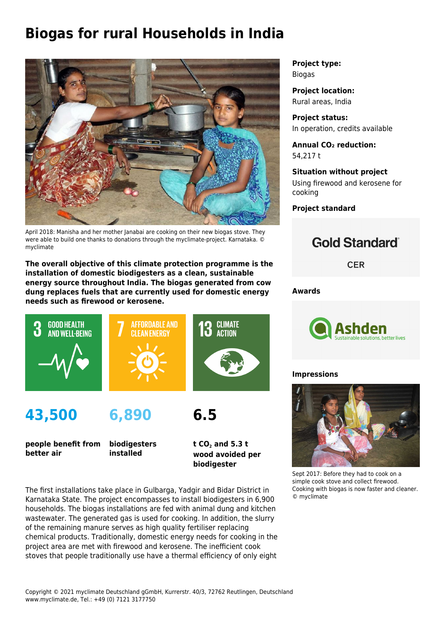# **Biogas for rural Households in India**



April 2018: Manisha and her mother Janabai are cooking on their new biogas stove. They were able to build one thanks to donations through the myclimate-project. Karnataka. © myclimate

**The overall objective of this climate protection programme is the installation of domestic biodigesters as a clean, sustainable energy source throughout India. The biogas generated from cow dung replaces fuels that are currently used for domestic energy needs such as firewood or kerosene.**



**people benefit from better air**

**biodigesters installed**

**t CO<sup>2</sup> and 5.3 t wood avoided per biodigester**

The first installations take place in Gulbarga, Yadgir and Bidar District in Karnataka State. The project encompasses to install biodigesters in 6,900 households. The biogas installations are fed with animal dung and kitchen wastewater. The generated gas is used for cooking. In addition, the slurry of the remaining manure serves as high quality fertiliser replacing chemical products. Traditionally, domestic energy needs for cooking in the project area are met with firewood and kerosene. The inefficient cook stoves that people traditionally use have a thermal efficiency of only eight

**Project type:** Biogas

**Project location:** Rural areas, India

**Project status:** In operation, credits available

**Annual CO₂ reduction:** 54,217 t

**Situation without project** Using firewood and kerosene for cooking

**Project standard**

## **Gold Standard**

**CER** 

**Awards**



#### **Impressions**



Sept 2017: Before they had to cook on a simple cook stove and collect firewood. Cooking with biogas is now faster and cleaner. © myclimate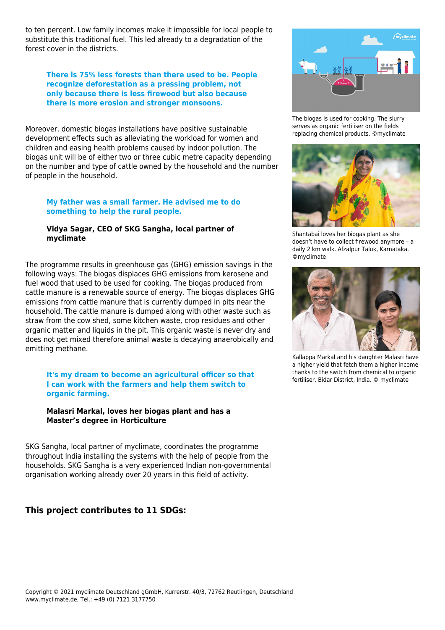to ten percent. Low family incomes make it impossible for local people to substitute this traditional fuel. This led already to a degradation of the forest cover in the districts.

#### **There is 75% less forests than there used to be. People recognize deforestation as a pressing problem, not only because there is less firewood but also because there is more erosion and stronger monsoons.**

Moreover, domestic biogas installations have positive sustainable development effects such as alleviating the workload for women and children and easing health problems caused by indoor pollution. The biogas unit will be of either two or three cubic metre capacity depending on the number and type of cattle owned by the household and the number of people in the household.

#### **My father was a small farmer. He advised me to do something to help the rural people.**

#### **Vidya Sagar, CEO of SKG Sangha, local partner of myclimate**

The programme results in greenhouse gas (GHG) emission savings in the following ways: The biogas displaces GHG emissions from kerosene and fuel wood that used to be used for cooking. The biogas produced from cattle manure is a renewable source of energy. The biogas displaces GHG emissions from cattle manure that is currently dumped in pits near the household. The cattle manure is dumped along with other waste such as straw from the cow shed, some kitchen waste, crop residues and other organic matter and liquids in the pit. This organic waste is never dry and does not get mixed therefore animal waste is decaying anaerobically and emitting methane.

**It's my dream to become an agricultural officer so that I can work with the farmers and help them switch to organic farming.** 

#### **Malasri Markal, loves her biogas plant and has a Master's degree in Horticulture**

SKG Sangha, local partner of myclimate, coordinates the programme throughout India installing the systems with the help of people from the households. SKG Sangha is a very experienced Indian non-governmental organisation working already over 20 years in this field of activity.

### **This project contributes to 11 SDGs:**



The biogas is used for cooking. The slurry serves as organic fertiliser on the fields replacing chemical products. ©myclimate



Shantabai loves her biogas plant as she doesn't have to collect firewood anymore – a daily 2 km walk. Afzalpur Taluk, Karnataka. ©myclimate



Kallappa Markal and his daughter Malasri have a higher yield that fetch them a higher income thanks to the switch from chemical to organic fertiliser. Bidar District, India. © myclimate